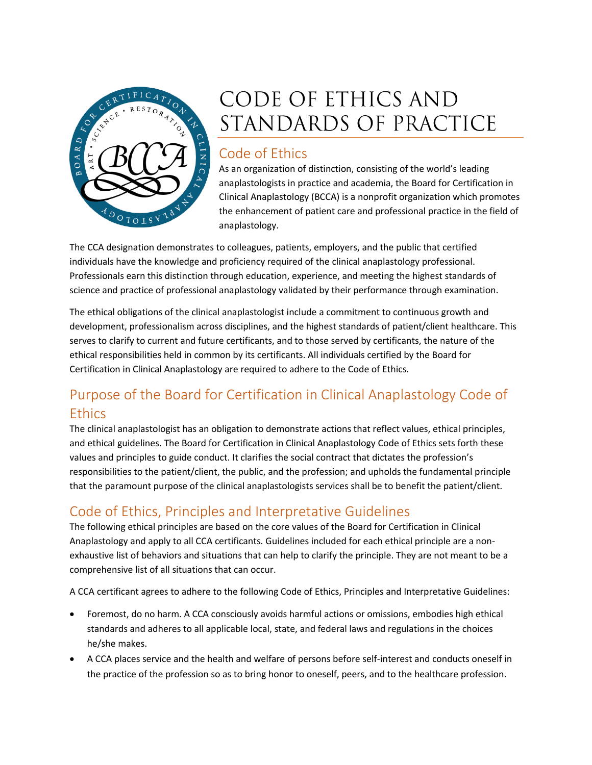

## CODE OF ETHICS AND STANDARDS OF PRACTICE

## Code of Ethics

As an organization of distinction, consisting of the world's leading anaplastologists in practice and academia, the Board for Certification in Clinical Anaplastology (BCCA) is a nonprofit organization which promotes the enhancement of patient care and professional practice in the field of anaplastology.

The CCA designation demonstrates to colleagues, patients, employers, and the public that certified individuals have the knowledge and proficiency required of the clinical anaplastology professional. Professionals earn this distinction through education, experience, and meeting the highest standards of science and practice of professional anaplastology validated by their performance through examination.

The ethical obligations of the clinical anaplastologist include a commitment to continuous growth and development, professionalism across disciplines, and the highest standards of patient/client healthcare. This serves to clarify to current and future certificants, and to those served by certificants, the nature of the ethical responsibilities held in common by its certificants. All individuals certified by the Board for Certification in Clinical Anaplastology are required to adhere to the Code of Ethics.

## Purpose of the Board for Certification in Clinical Anaplastology Code of **Ethics**

The clinical anaplastologist has an obligation to demonstrate actions that reflect values, ethical principles, and ethical guidelines. The Board for Certification in Clinical Anaplastology Code of Ethics sets forth these values and principles to guide conduct. It clarifies the social contract that dictates the profession's responsibilities to the patient/client, the public, and the profession; and upholds the fundamental principle that the paramount purpose of the clinical anaplastologists services shall be to benefit the patient/client.

## Code of Ethics, Principles and Interpretative Guidelines

The following ethical principles are based on the core values of the Board for Certification in Clinical Anaplastology and apply to all CCA certificants. Guidelines included for each ethical principle are a nonexhaustive list of behaviors and situations that can help to clarify the principle. They are not meant to be a comprehensive list of all situations that can occur.

A CCA certificant agrees to adhere to the following Code of Ethics, Principles and Interpretative Guidelines:

- Foremost, do no harm. A CCA consciously avoids harmful actions or omissions, embodies high ethical standards and adheres to all applicable local, state, and federal laws and regulations in the choices he/she makes.
- A CCA places service and the health and welfare of persons before self-interest and conducts oneself in the practice of the profession so as to bring honor to oneself, peers, and to the healthcare profession.